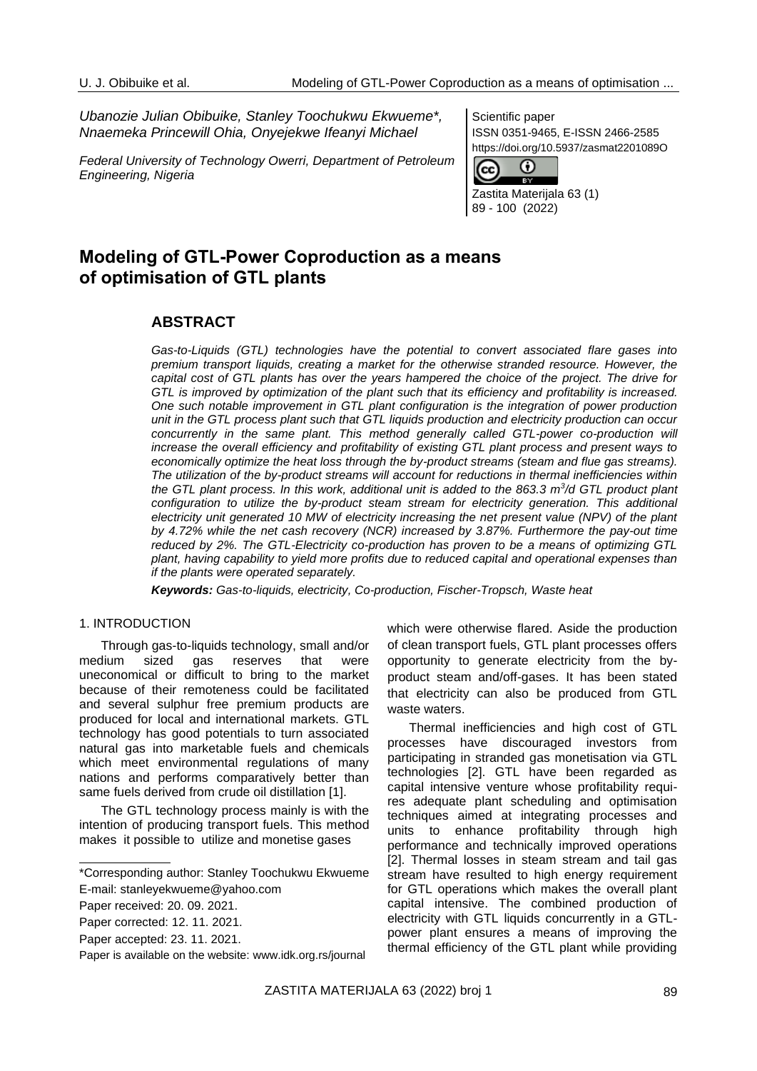*Ubanozie Julian Obibuike, Stanley Toochukwu Ekwueme\*, Nnaemeka Princewill Ohia, Onyejekwe Ifeanyi Michael*

*Federal University of Technology Owerri, Department of Petroleum Engineering, Nigeria*

Scientific paper ISSN 0351-9465, E-ISSN 2466-2585 https://doi.org/10.5937/zasmat2201089O



Zastita Materijala 63 (1) 89 - 100 (2022)

# **Modeling of GTL-Power Coproduction as a means of optimisation of GTL plants**

# **ABSTRACT**

*Gas-to-Liquids (GTL) technologies have the potential to convert associated flare gases into premium transport liquids, creating a market for the otherwise stranded resource. However, the capital cost of GTL plants has over the years hampered the choice of the project. The drive for GTL is improved by optimization of the plant such that its efficiency and profitability is increased. One such notable improvement in GTL plant configuration is the integration of power production unit in the GTL process plant such that GTL liquids production and electricity production can occur concurrently in the same plant. This method generally called GTL-power co-production will increase the overall efficiency and profitability of existing GTL plant process and present ways to economically optimize the heat loss through the by-product streams (steam and flue gas streams). The utilization of the by-product streams will account for reductions in thermal inefficiencies within the GTL plant process. In this work, additional unit is added to the 863.3 m<sup>3</sup> /d GTL product plant*  configuration to utilize the by-product steam stream for electricity generation. This additional *electricity unit generated 10 MW of electricity increasing the net present value (NPV) of the plant by 4.72% while the net cash recovery (NCR) increased by 3.87%. Furthermore the pay-out time reduced by 2%. The GTL-Electricity co-production has proven to be a means of optimizing GTL plant, having capability to yield more profits due to reduced capital and operational expenses than if the plants were operated separately.*

*Keywords: Gas-to-liquids, electricity, Co-production, Fischer-Tropsch, Waste heat*

#### 1. INTRODUCTION

Through gas-to-liquids technology, small and/or medium sized gas reserves that were uneconomical or difficult to bring to the market because of their remoteness could be facilitated and several sulphur free premium products are produced for local and international markets. GTL technology has good potentials to turn associated natural gas into marketable fuels and chemicals which meet environmental regulations of many nations and performs comparatively better than same fuels derived from crude oil distillation [1].

The GTL technology process mainly is with the intention of producing transport fuels. This method makes it possible to utilize and monetise gases

which were otherwise flared. Aside the production of clean transport fuels, GTL plant processes offers opportunity to generate electricity from the byproduct steam and/off-gases. It has been stated that electricity can also be produced from GTL waste waters.

Thermal inefficiencies and high cost of GTL processes have discouraged investors from participating in stranded gas monetisation via GTL technologies [2]. GTL have been regarded as capital intensive venture whose profitability requires adequate plant scheduling and optimisation techniques aimed at integrating processes and units to enhance profitability through high performance and technically improved operations [2]. Thermal losses in steam stream and tail gas stream have resulted to high energy requirement for GTL operations which makes the overall plant capital intensive. The combined production of electricity with GTL liquids concurrently in a GTLpower plant ensures a means of improving the thermal efficiency of the GTL plant while providing

<sup>\*</sup>Corresponding author: Stanley Toochukwu Ekwueme E-mail[: stanleyekwueme@yahoo.com](mailto:stanleyekwueme@yahoo.com)

Paper received: 20. 09. 2021.

Paper corrected: 12. 11. 2021.

Paper accepted: 23. 11. 2021.

Paper is available on the website: [www.idk.org.rs/journal](http://www.idk.org.rs/journal)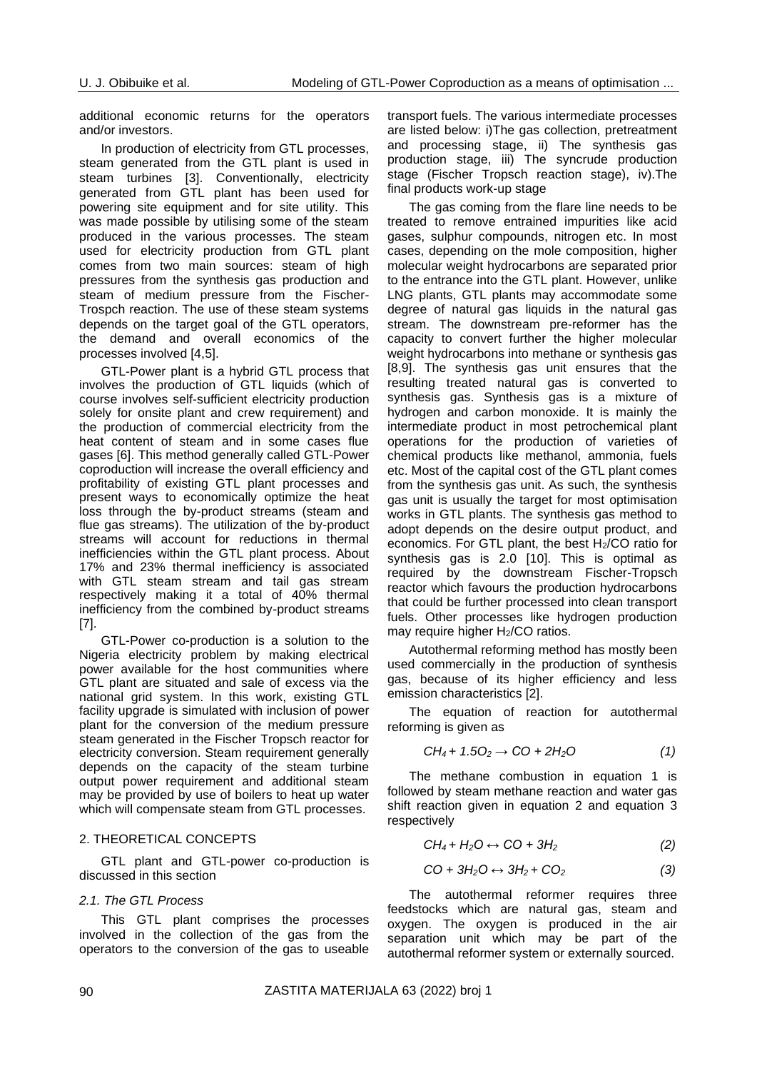additional economic returns for the operators and/or investors.

In production of electricity from GTL processes, steam generated from the GTL plant is used in steam turbines [3]. Conventionally, electricity generated from GTL plant has been used for powering site equipment and for site utility. This was made possible by utilising some of the steam produced in the various processes. The steam used for electricity production from GTL plant comes from two main sources: steam of high pressures from the synthesis gas production and steam of medium pressure from the Fischer-Trospch reaction. The use of these steam systems depends on the target goal of the GTL operators, the demand and overall economics of the processes involved [4,5].

GTL-Power plant is a hybrid GTL process that involves the production of GTL liquids (which of course involves self-sufficient electricity production solely for onsite plant and crew requirement) and the production of commercial electricity from the heat content of steam and in some cases flue gases [6]. This method generally called GTL-Power coproduction will increase the overall efficiency and profitability of existing GTL plant processes and present ways to economically optimize the heat loss through the by-product streams (steam and flue gas streams). The utilization of the by-product streams will account for reductions in thermal inefficiencies within the GTL plant process. About 17% and 23% thermal inefficiency is associated with GTL steam stream and tail gas stream respectively making it a total of 40% thermal inefficiency from the combined by-product streams [7].

GTL-Power co-production is a solution to the Nigeria electricity problem by making electrical power available for the host communities where GTL plant are situated and sale of excess via the national grid system. In this work, existing GTL facility upgrade is simulated with inclusion of power plant for the conversion of the medium pressure steam generated in the Fischer Tropsch reactor for electricity conversion. Steam requirement generally depends on the capacity of the steam turbine output power requirement and additional steam may be provided by use of boilers to heat up water which will compensate steam from GTL processes.

### 2. THEORETICAL CONCEPTS

GTL plant and GTL-power co-production is discussed in this section

### *2.1. The GTL Process*

This GTL plant comprises the processes involved in the collection of the gas from the operators to the conversion of the gas to useable transport fuels. The various intermediate processes are listed below: i)The gas collection, pretreatment and processing stage, ii) The synthesis gas production stage, iii) The syncrude production stage (Fischer Tropsch reaction stage), iv).The final products work-up stage

The gas coming from the flare line needs to be treated to remove entrained impurities like acid gases, sulphur compounds, nitrogen etc. In most cases, depending on the mole composition, higher molecular weight hydrocarbons are separated prior to the entrance into the GTL plant. However, unlike LNG plants, GTL plants may accommodate some degree of natural gas liquids in the natural gas stream. The downstream pre-reformer has the capacity to convert further the higher molecular weight hydrocarbons into methane or synthesis gas [8,9]. The synthesis gas unit ensures that the resulting treated natural gas is converted to synthesis gas. Synthesis gas is a mixture of hydrogen and carbon monoxide. It is mainly the intermediate product in most petrochemical plant operations for the production of varieties of chemical products like methanol, ammonia, fuels etc. Most of the capital cost of the GTL plant comes from the synthesis gas unit. As such, the synthesis gas unit is usually the target for most optimisation works in GTL plants. The synthesis gas method to adopt depends on the desire output product, and economics. For GTL plant, the best H2/CO ratio for synthesis gas is 2.0 [10]. This is optimal as required by the downstream Fischer-Tropsch reactor which favours the production hydrocarbons that could be further processed into clean transport fuels. Other processes like hydrogen production may require higher H2/CO ratios.

Autothermal reforming method has mostly been used commercially in the production of synthesis gas, because of its higher efficiency and less emission characteristics [2].

The equation of reaction for autothermal reforming is given as

$$
CH_4 + 1.5O_2 \rightarrow CO + 2H_2O \qquad (1)
$$

The methane combustion in equation 1 is followed by steam methane reaction and water gas shift reaction given in equation 2 and equation 3 respectively

$$
CH_4 + H_2O \leftrightarrow CO + 3H_2 \tag{2}
$$

$$
CO + 3H_2O \leftrightarrow 3H_2 + CO_2 \tag{3}
$$

The autothermal reformer requires three feedstocks which are natural gas, steam and oxygen. The oxygen is produced in the air separation unit which may be part of the autothermal reformer system or externally sourced.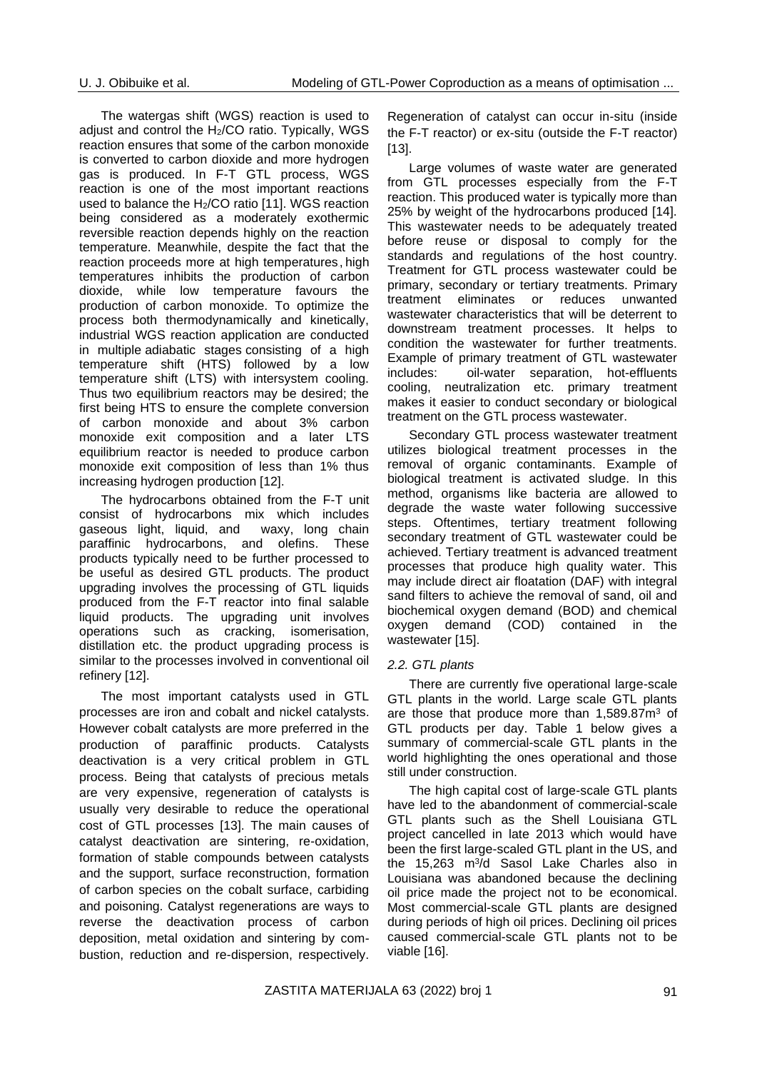The watergas shift (WGS) reaction is used to adjust and control the  $H<sub>2</sub>/CO$  ratio. Typically, WGS reaction ensures that some of the carbon monoxide is converted to carbon dioxide and more hydrogen gas is produced. In F-T GTL process, WGS reaction is one of the most important reactions used to balance the H2/CO ratio [11]. WGS reaction being considered as a moderately exothermic reversible reaction depends highly on the reaction temperature. Meanwhile, despite the fact that the reaction proceeds more at high temperatures, high temperatures inhibits the production of carbon dioxide, while low temperature favours the production of carbon monoxide. To optimize the process both thermodynamically and kinetically, industrial WGS reaction application are conducted in multiple [adiabatic stages](https://en.wikipedia.org/wiki/Adiabatic_process) consisting of a high temperature shift (HTS) followed by a low temperature shift (LTS) with intersystem cooling. Thus two equilibrium reactors may be desired; the first being HTS to ensure the complete conversion of carbon monoxide and about 3% carbon monoxide exit composition and a later LTS equilibrium reactor is needed to produce carbon monoxide exit composition of less than 1% thus increasing hydrogen production [12].

The hydrocarbons obtained from the F-T unit consist of hydrocarbons mix which includes gaseous light, liquid, and waxy, long chain paraffinic hydrocarbons, and olefins. These products typically need to be further processed to be useful as desired GTL products. The product upgrading involves the processing of GTL liquids produced from the F-T reactor into final salable liquid products. The upgrading unit involves operations such as cracking, isomerisation, distillation etc. the product upgrading process is similar to the processes involved in conventional oil refinery [12].

The most important catalysts used in GTL processes are iron and cobalt and nickel catalysts. However cobalt catalysts are more preferred in the production of paraffinic products. Catalysts deactivation is a very critical problem in GTL process. Being that catalysts of precious metals are very expensive, regeneration of catalysts is usually very desirable to reduce the operational cost of GTL processes [13]. The main causes of catalyst deactivation are sintering, re-oxidation, formation of stable compounds between catalysts and the support, surface reconstruction, formation of carbon species on the cobalt surface, carbiding and poisoning. Catalyst regenerations are ways to reverse the deactivation process of carbon deposition, metal oxidation and sintering by combustion, reduction and re-dispersion, respectively.

Regeneration of catalyst can occur in-situ (inside the F-T reactor) or ex-situ (outside the F-T reactor) [13].

Large volumes of waste water are generated from GTL processes especially from the F-T reaction. This produced water is typically more than 25% by weight of the hydrocarbons produced [14]. This wastewater needs to be adequately treated before reuse or disposal to comply for the standards and regulations of the host country. Treatment for GTL process wastewater could be primary, secondary or tertiary treatments. Primary treatment eliminates or reduces unwanted wastewater characteristics that will be deterrent to downstream treatment processes. It helps to condition the wastewater for further treatments. Example of primary treatment of GTL wastewater includes: oil-water separation, hot-effluents cooling, neutralization etc. primary treatment makes it easier to conduct secondary or biological treatment on the GTL process wastewater.

Secondary GTL process wastewater treatment utilizes biological treatment processes in the removal of organic contaminants. Example of biological treatment is activated sludge. In this method, organisms like bacteria are allowed to degrade the waste water following successive steps. Oftentimes, tertiary treatment following secondary treatment of GTL wastewater could be achieved. Tertiary treatment is advanced treatment processes that produce high quality water. This may include direct air floatation (DAF) with integral sand filters to achieve the removal of sand, oil and biochemical oxygen demand (BOD) and chemical oxygen demand (COD) contained in the wastewater [15].

### *2.2. GTL plants*

There are currently five operational large-scale GTL plants in the world. Large scale GTL plants are those that produce more than 1,589.87m<sup>3</sup> of GTL products per day. Table 1 below gives a summary of commercial-scale GTL plants in the world highlighting the ones operational and those still under construction.

The high capital cost of large-scale GTL plants have led to the abandonment of commercial-scale GTL plants such as the Shell Louisiana GTL project cancelled in late 2013 which would have been the first large-scaled GTL plant in the US, and the 15,263 m<sup>3</sup> /d Sasol Lake Charles also in Louisiana was abandoned because the declining oil price made the project not to be economical. Most commercial-scale GTL plants are designed during periods of high oil prices. Declining oil prices caused commercial-scale GTL plants not to be viable [16].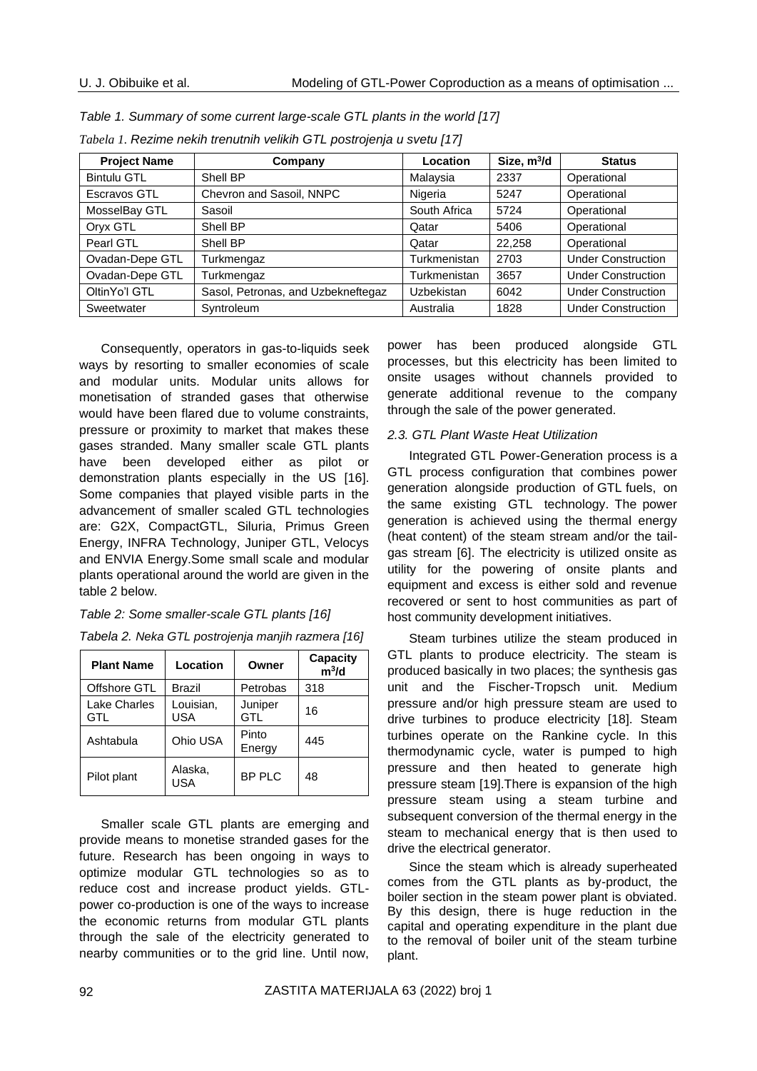| <b>Project Name</b> | Company                            | Location          | Size, $m^3/d$ | <b>Status</b>             |
|---------------------|------------------------------------|-------------------|---------------|---------------------------|
| <b>Bintulu GTL</b>  | Shell BP                           | Malaysia          | 2337          | Operational               |
| Escravos GTL        | Chevron and Sasoil, NNPC           | Nigeria           | 5247          | Operational               |
| MosselBay GTL       | Sasoil                             | South Africa      | 5724          | Operational               |
| Oryx GTL            | Shell BP                           | Qatar             | 5406          | Operational               |
| Pearl GTL           | Shell BP                           | Qatar             | 22.258        | Operational               |
| Ovadan-Depe GTL     | Turkmengaz                         | Turkmenistan      | 2703          | <b>Under Construction</b> |
| Ovadan-Depe GTL     | Turkmengaz                         | Turkmenistan      | 3657          | <b>Under Construction</b> |
| OltinYo'l GTL       | Sasol, Petronas, and Uzbekneftegaz | <b>Uzbekistan</b> | 6042          | <b>Under Construction</b> |
| Sweetwater          | Syntroleum                         | Australia         | 1828          | <b>Under Construction</b> |

*Table 1. Summary of some current large-scale GTL plants in the world [17]*

Consequently, operators in gas-to-liquids seek ways by resorting to smaller economies of scale and modular units. Modular units allows for monetisation of stranded gases that otherwise would have been flared due to volume constraints, pressure or proximity to market that makes these gases stranded. Many smaller scale GTL plants have been developed either as pilot or demonstration plants especially in the US [16]. Some companies that played visible parts in the advancement of smaller scaled GTL technologies are: G2X, CompactGTL, Siluria, Primus Green Energy, INFRA Technology, Juniper GTL, Velocys and ENVIA Energy.Some small scale and modular plants operational around the world are given in the table 2 below.

*Tabela 1. Rezime nekih trenutnih velikih GTL postrojenja u svetu [17]*

*Table 2: Some smaller-scale GTL plants [16]*

| Tabela 2. Neka GTL postrojenja manjih razmera [16] |  |  |
|----------------------------------------------------|--|--|
|----------------------------------------------------|--|--|

| <b>Plant Name</b>   | Location         | Owner           | Capacity<br>m <sup>3</sup> /d |
|---------------------|------------------|-----------------|-------------------------------|
| Offshore GTL        | <b>Brazil</b>    | Petrobas        | 318                           |
| Lake Charles<br>GTL | Louisian,<br>USA | Juniper<br>GTL  | 16                            |
| Ashtabula           | Ohio USA         | Pinto<br>Energy | 445                           |
| Pilot plant         | Alaska.<br>USA   | <b>BP PLC</b>   | 48                            |

Smaller scale GTL plants are emerging and provide means to monetise stranded gases for the future. Research has been ongoing in ways to optimize modular GTL technologies so as to reduce cost and increase product yields. GTLpower co-production is one of the ways to increase the economic returns from modular GTL plants through the sale of the electricity generated to nearby communities or to the grid line. Until now,

power has been produced alongside GTL processes, but this electricity has been limited to onsite usages without channels provided to generate additional revenue to the company through the sale of the power generated.

### *2.3. GTL Plant Waste Heat Utilization*

Integrated GTL Power-Generation process is a GTL process configuration that combines power generation alongside production of GTL fuels, on the same existing GTL technology. The power generation is achieved using the thermal energy (heat content) of the steam stream and/or the tailgas stream [6]. The electricity is utilized onsite as utility for the powering of onsite plants and equipment and excess is either sold and revenue recovered or sent to host communities as part of host community development initiatives.

Steam turbines utilize the steam produced in GTL plants to produce electricity. The steam is produced basically in two places; the synthesis gas unit and the Fischer-Tropsch unit. Medium pressure and/or high pressure steam are used to drive turbines to produce electricity [18]. Steam turbines operate on the Rankine cycle. In this thermodynamic cycle, water is pumped to high pressure and then heated to generate high pressure steam [19].There is expansion of the high pressure steam using a steam turbine and subsequent conversion of the thermal energy in the steam to mechanical energy that is then used to drive the electrical generator.

Since the steam which is already superheated comes from the GTL plants as by-product, the boiler section in the steam power plant is obviated. By this design, there is huge reduction in the capital and operating expenditure in the plant due to the removal of boiler unit of the steam turbine plant.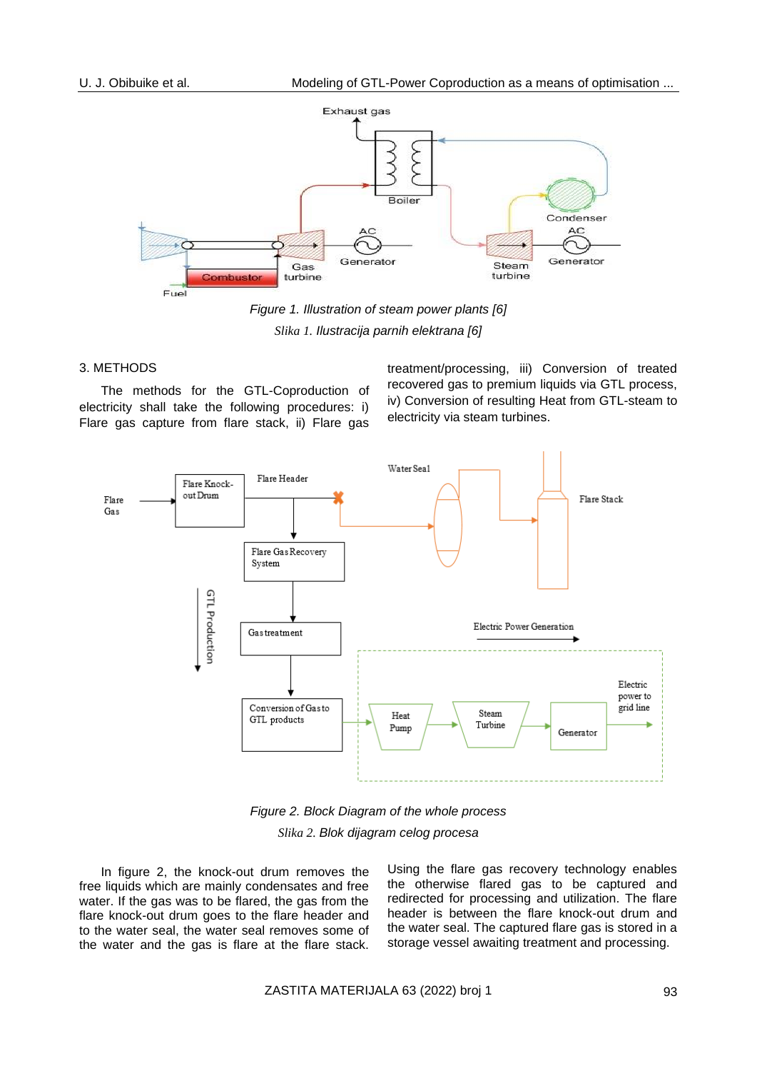

*Figure 1. Illustration of steam power plants [6] Slika 1. Ilustracija parnih elektrana [6]*

### 3. METHODS

The methods for the GTL-Coproduction of electricity shall take the following procedures: i) Flare gas capture from flare stack, ii) Flare gas treatment/processing, iii) Conversion of treated recovered gas to premium liquids via GTL process, iv) Conversion of resulting Heat from GTL-steam to electricity via steam turbines.



*Figure 2. Block Diagram of the whole process Slika 2. Blok dijagram celog procesa*

In figure 2, the knock-out drum removes the free liquids which are mainly condensates and free water. If the gas was to be flared, the gas from the flare knock-out drum goes to the flare header and to the water seal, the water seal removes some of the water and the gas is flare at the flare stack. Using the flare gas recovery technology enables the otherwise flared gas to be captured and redirected for processing and utilization. The flare header is between the flare knock-out drum and the water seal. The captured flare gas is stored in a storage vessel awaiting treatment and processing.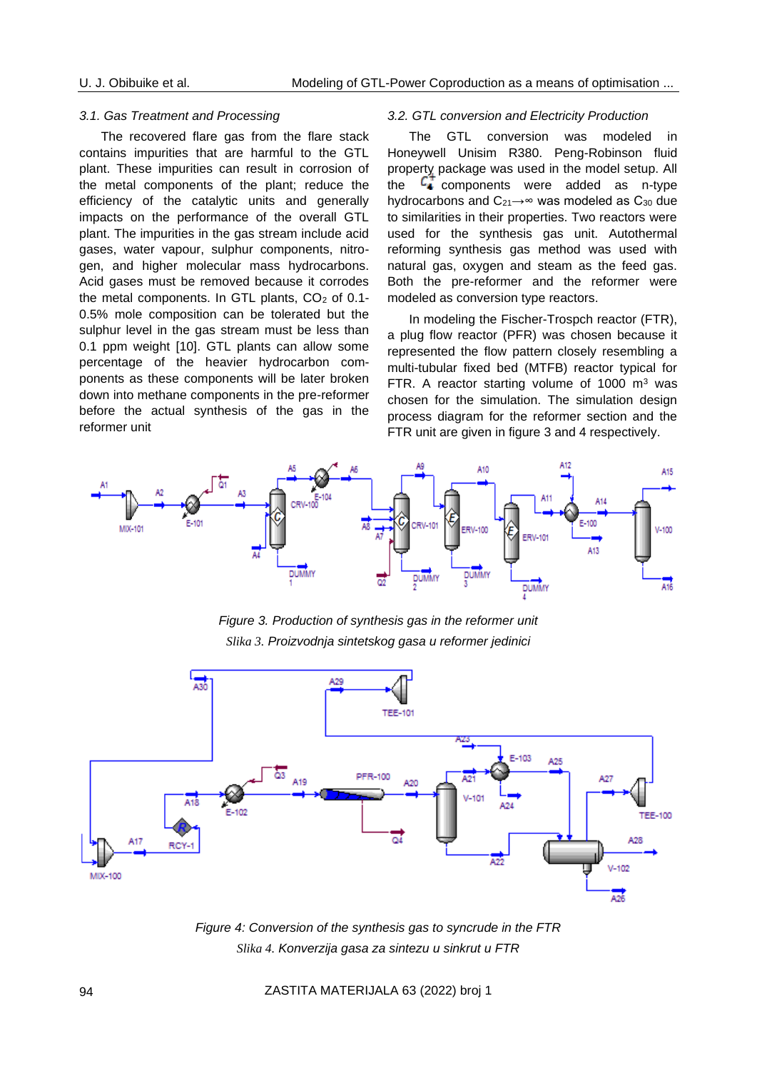#### *3.1. Gas Treatment and Processing*

The recovered flare gas from the flare stack contains impurities that are harmful to the GTL plant. These impurities can result in corrosion of the metal components of the plant; reduce the efficiency of the catalytic units and generally impacts on the performance of the overall GTL plant. The impurities in the gas stream include acid gases, water vapour, sulphur components, nitrogen, and higher molecular mass hydrocarbons. Acid gases must be removed because it corrodes the metal components. In GTL plants, CO<sub>2</sub> of 0.1-0.5% mole composition can be tolerated but the sulphur level in the gas stream must be less than 0.1 ppm weight [10]. GTL plants can allow some percentage of the heavier hydrocarbon components as these components will be later broken down into methane components in the pre-reformer before the actual synthesis of the gas in the reformer unit

#### *3.2. GTL conversion and Electricity Production*

The GTL conversion was modeled in Honeywell Unisim R380. Peng-Robinson fluid property package was used in the model setup. All the  $\frac{c}{\cdot}$  components were added as n-type hydrocarbons and C<sub>21</sub>→∞ was modeled as C<sub>30</sub> due to similarities in their properties. Two reactors were used for the synthesis gas unit. Autothermal reforming synthesis gas method was used with natural gas, oxygen and steam as the feed gas. Both the pre-reformer and the reformer were modeled as conversion type reactors.

In modeling the Fischer-Trospch reactor (FTR), a plug flow reactor (PFR) was chosen because it represented the flow pattern closely resembling a multi-tubular fixed bed (MTFB) reactor typical for FTR. A reactor starting volume of 1000  $m<sup>3</sup>$  was chosen for the simulation. The simulation design process diagram for the reformer section and the FTR unit are given in figure 3 and 4 respectively.



*Figure 3. Production of synthesis gas in the reformer unit Slika 3. Proizvodnja sintetskog gasa u reformer jedinici*



*Figure 4: Conversion of the synthesis gas to syncrude in the FTR Slika 4. Konverzija gasa za sintezu u sinkrut u FTR*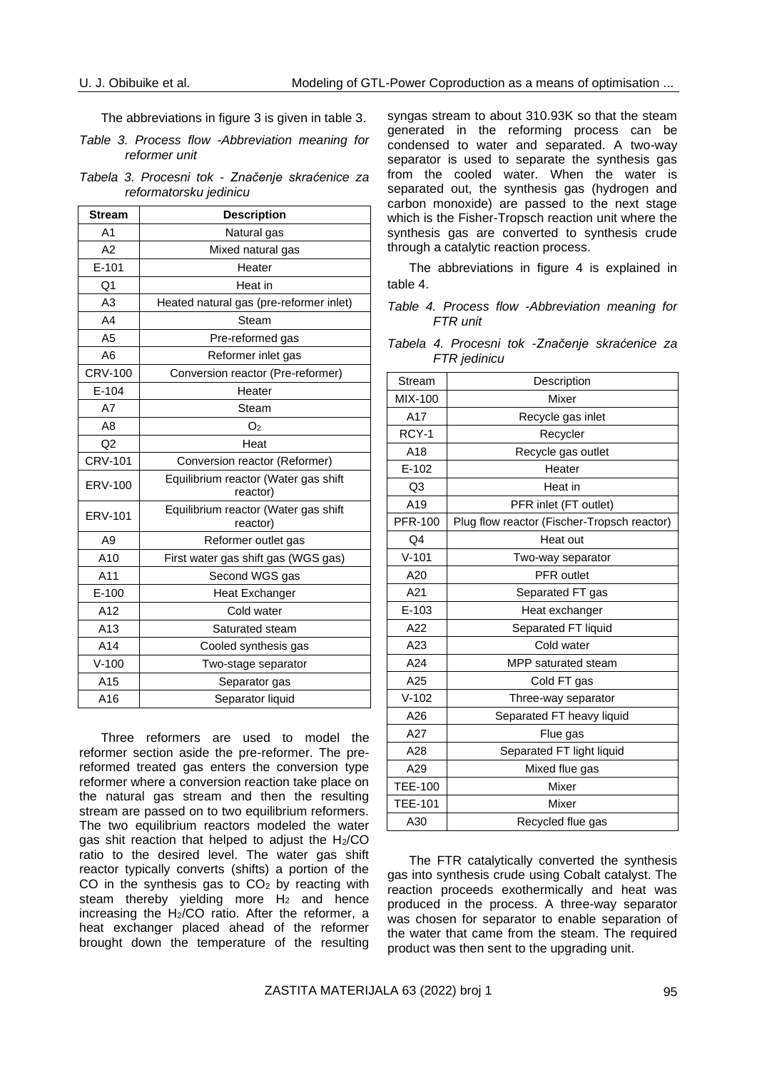The abbreviations in figure 3 is given in table 3.

*Table 3. Process flow -Abbreviation meaning for reformer unit*

|  |                        |  | Tabela 3. Procesni tok - Značenje skraćenice za |  |
|--|------------------------|--|-------------------------------------------------|--|
|  | reformatorsku jedinicu |  |                                                 |  |

| <b>Stream</b>  | <b>Description</b>                               |
|----------------|--------------------------------------------------|
| A <sub>1</sub> | Natural gas                                      |
| A2             | Mixed natural gas                                |
| $E-101$        | Heater                                           |
| Q1             | Heat in                                          |
| A <sub>3</sub> | Heated natural gas (pre-reformer inlet)          |
| A4             | Steam                                            |
| A <sub>5</sub> | Pre-reformed gas                                 |
| A <sub>6</sub> | Reformer inlet gas                               |
| <b>CRV-100</b> | Conversion reactor (Pre-reformer)                |
| $E-104$        | Heater                                           |
| A7             | Steam                                            |
| A <sub>8</sub> | O <sub>2</sub>                                   |
| Q <sub>2</sub> | Heat                                             |
| <b>CRV-101</b> | Conversion reactor (Reformer)                    |
| ERV-100        | Equilibrium reactor (Water gas shift<br>reactor) |
| ERV-101        | Equilibrium reactor (Water gas shift<br>reactor) |
| A <sub>9</sub> | Reformer outlet gas                              |
| A10            | First water gas shift gas (WGS gas)              |
| A11            | Second WGS gas                                   |
| $E-100$        | <b>Heat Exchanger</b>                            |
| A12            | Cold water                                       |
| A13            | Saturated steam                                  |
| A14            | Cooled synthesis gas                             |
| $V-100$        | Two-stage separator                              |
| A15            | Separator gas                                    |
| A16            | Separator liquid                                 |

Three reformers are used to model the reformer section aside the pre-reformer. The prereformed treated gas enters the conversion type reformer where a conversion reaction take place on the natural gas stream and then the resulting stream are passed on to two equilibrium reformers. The two equilibrium reactors modeled the water gas shit reaction that helped to adjust the  $H_2/CO$ ratio to the desired level. The water gas shift reactor typically converts (shifts) a portion of the CO in the synthesis gas to  $CO<sub>2</sub>$  by reacting with steam thereby yielding more  $H_2$  and hence increasing the H2/CO ratio. After the reformer, a heat exchanger placed ahead of the reformer brought down the temperature of the resulting

syngas stream to about 310.93K so that the steam generated in the reforming process can be condensed to water and separated. A two-way separator is used to separate the synthesis gas from the cooled water. When the water is separated out, the synthesis gas (hydrogen and carbon monoxide) are passed to the next stage which is the Fisher-Tropsch reaction unit where the synthesis gas are converted to synthesis crude through a catalytic reaction process.

The abbreviations in figure 4 is explained in table 4.

*Table 4. Process flow -Abbreviation meaning for FTR unit*

|  |              |  | Tabela 4. Procesni tok -Značenje skraćenice za |  |
|--|--------------|--|------------------------------------------------|--|
|  | FTR jedinicu |  |                                                |  |

| Stream         | Description                                 |
|----------------|---------------------------------------------|
| MIX-100        | Mixer                                       |
| A17            | Recycle gas inlet                           |
| RCY-1          | Recycler                                    |
| A18            | Recycle gas outlet                          |
| $E-102$        | Heater                                      |
| Q3             | Heat in                                     |
| A19            | PFR inlet (FT outlet)                       |
| <b>PFR-100</b> | Plug flow reactor (Fischer-Tropsch reactor) |
| Q <sub>4</sub> | Heat out                                    |
| $V - 101$      | Two-way separator                           |
| A20            | <b>PFR</b> outlet                           |
| A21            | Separated FT gas                            |
| E-103          | Heat exchanger                              |
| A22            | Separated FT liquid                         |
| A23            | Cold water                                  |
| A24            | MPP saturated steam                         |
| A25            | Cold FT gas                                 |
| $V-102$        | Three-way separator                         |
| A26            | Separated FT heavy liquid                   |
| A27            | Flue gas                                    |
| A28            | Separated FT light liquid                   |
| A29            | Mixed flue gas                              |
| <b>TEE-100</b> | Mixer                                       |
| <b>TEE-101</b> | Mixer                                       |
| A30            | Recycled flue gas                           |

The FTR catalytically converted the synthesis gas into synthesis crude using Cobalt catalyst. The reaction proceeds exothermically and heat was produced in the process. A three-way separator was chosen for separator to enable separation of the water that came from the steam. The required product was then sent to the upgrading unit.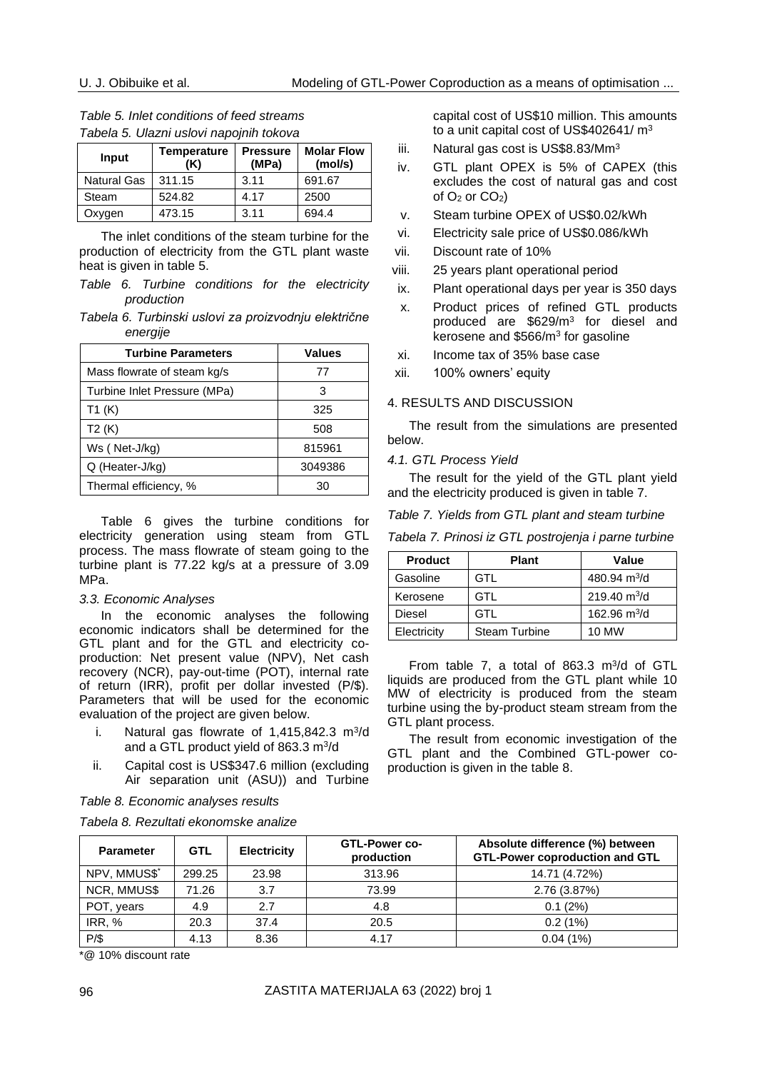| Table 5. Inlet conditions of feed streams |
|-------------------------------------------|
| Tabela 5. Ulazni uslovi napojnih tokova   |

| Input              | Temperature<br>(K) | <b>Pressure</b><br>(MPa) | <b>Molar Flow</b><br>(mol/s) |
|--------------------|--------------------|--------------------------|------------------------------|
| <b>Natural Gas</b> | 311.15             | 3.11                     | 691.67                       |
| Steam              | 524.82             | 4.17                     | 2500                         |
| Oxygen             | 473.15             | 3.11                     | 694.4                        |

The inlet conditions of the steam turbine for the production of electricity from the GTL plant waste heat is given in table 5.

*Table 6. Turbine conditions for the electricity production*

*Tabela 6. Turbinski uslovi za proizvodnju električne energije*

| <b>Turbine Parameters</b>    | <b>Values</b> |
|------------------------------|---------------|
| Mass flowrate of steam kg/s  | 77            |
| Turbine Inlet Pressure (MPa) | 3             |
| T1(K)                        | 325           |
| T2(K)                        | 508           |
| Ws (Net-J/kg)                | 815961        |
| Q (Heater-J/kg)              | 3049386       |
| Thermal efficiency, %        | 30            |

Table 6 gives the turbine conditions for electricity generation using steam from GTL process. The mass flowrate of steam going to the turbine plant is 77.22 kg/s at a pressure of 3.09 MPa.

### *3.3. Economic Analyses*

In the economic analyses the following economic indicators shall be determined for the GTL plant and for the GTL and electricity coproduction: Net present value (NPV), Net cash recovery (NCR), pay-out-time (POT), internal rate of return (IRR), profit per dollar invested (P/\$). Parameters that will be used for the economic evaluation of the project are given below.

- i. Natural gas flowrate of  $1,415,842.3$  m<sup>3</sup>/d and a GTL product yield of 863.3 m<sup>3</sup>/d
- ii. Capital cost is US\$347.6 million (excluding Air separation unit (ASU)) and Turbine

*Table 8. Economic analyses results*

*Tabela 8. Rezultati ekonomske analize*

capital cost of US\$10 million. This amounts to a unit capital cost of US\$402641/ m<sup>3</sup>

- iii. Natural gas cost is US\$8.83/Mm<sup>3</sup>
- iv. GTL plant OPEX is 5% of CAPEX (this excludes the cost of natural gas and cost of  $O_2$  or  $CO_2$ )
- v. Steam turbine OPEX of US\$0.02/kWh
- vi. Electricity sale price of US\$0.086/kWh
- vii. Discount rate of 10%
- viii. 25 years plant operational period
- ix. Plant operational days per year is 350 days
- x. Product prices of refined GTL products produced are \$629/m<sup>3</sup> for diesel and kerosene and \$566/m<sup>3</sup> for gasoline
- xi. Income tax of 35% base case
- xii. 100% owners' equity

### 4. RESULTS AND DISCUSSION

The result from the simulations are presented below.

*4.1. GTL Process Yield*

The result for the yield of the GTL plant yield and the electricity produced is given in table 7.

#### *Table 7. Yields from GTL plant and steam turbine*

*Tabela 7. Prinosi iz GTL postrojenja i parne turbine*

| <b>Product</b> | <b>Plant</b>         | Value          |
|----------------|----------------------|----------------|
| Gasoline       | GTL                  | 480.94 $m^3/d$ |
| Kerosene       | GTL                  | 219.40 $m^3/d$ |
| Diesel         | GTL                  | 162.96 $m^3/d$ |
| Electricity    | <b>Steam Turbine</b> | 10 MW          |

From table 7, a total of 863.3  $m^3/d$  of GTL liquids are produced from the GTL plant while 10 MW of electricity is produced from the steam turbine using the by-product steam stream from the GTL plant process.

The result from economic investigation of the GTL plant and the Combined GTL-power coproduction is given in the table 8.

| <b>Parameter</b> | <b>GTL</b> | <b>Electricity</b> | GTL-Power co-<br>production | Absolute difference (%) between<br><b>GTL-Power coproduction and GTL</b> |
|------------------|------------|--------------------|-----------------------------|--------------------------------------------------------------------------|
| NPV, MMUS\$*     | 299.25     | 23.98              | 313.96                      | 14.71 (4.72%)                                                            |
| NCR, MMUS\$      | 71.26      | 3.7                | 73.99                       | 2.76 (3.87%)                                                             |
| POT, years       | 4.9        | 2.7                | 4.8                         | 0.1(2%)                                                                  |
| IRR, %           | 20.3       | 37.4               | 20.5                        | 0.2(1%)                                                                  |
| $P/\$$           | 4.13       | 8.36               | 4.17                        | $0.04(1\%)$                                                              |

\*@ 10% discount rate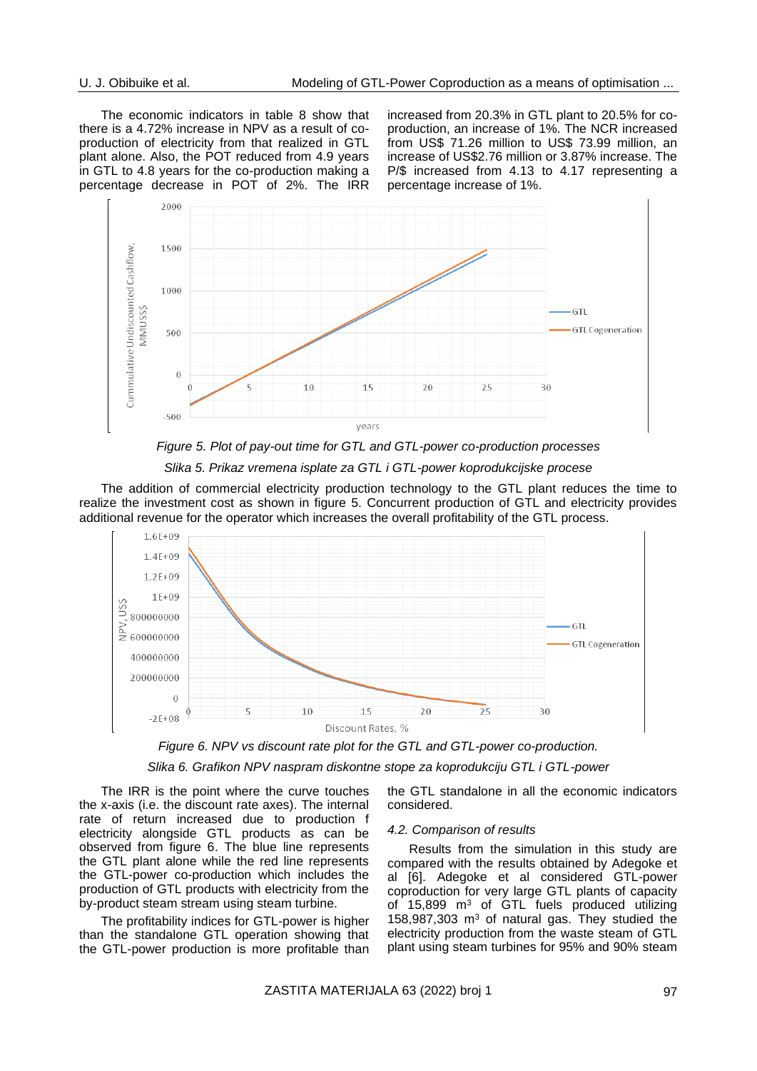The economic indicators in table 8 show that there is a 4.72% increase in NPV as a result of coproduction of electricity from that realized in GTL plant alone. Also, the POT reduced from 4.9 years in GTL to 4.8 years for the co-production making a percentage decrease in POT of 2%. The IRR increased from 20.3% in GTL plant to 20.5% for coproduction, an increase of 1%. The NCR increased from US\$ 71.26 million to US\$ 73.99 million, an increase of US\$2.76 million or 3.87% increase. The P/\$ increased from 4.13 to 4.17 representing a percentage increase of 1%.





### *Slika 5. Prikaz vremena isplate za GTL i GTL-power koprodukcijske procese*

The addition of commercial electricity production technology to the GTL plant reduces the time to realize the investment cost as shown in figure 5. Concurrent production of GTL and electricity provides additional revenue for the operator which increases the overall profitability of the GTL process.



*Figure 6. NPV vs discount rate plot for the GTL and GTL-power co-production.*

*Slika 6. Grafikon NPV naspram diskontne stope za koprodukciju GTL i GTL-power*

The IRR is the point where the curve touches the x-axis (i.e. the discount rate axes). The internal rate of return increased due to production f electricity alongside GTL products as can be observed from figure 6. The blue line represents the GTL plant alone while the red line represents the GTL-power co-production which includes the production of GTL products with electricity from the by-product steam stream using steam turbine.

The profitability indices for GTL-power is higher than the standalone GTL operation showing that the GTL-power production is more profitable than the GTL standalone in all the economic indicators considered.

#### *4.2. Comparison of results*

Results from the simulation in this study are compared with the results obtained by Adegoke et al [6]. Adegoke et al considered GTL-power coproduction for very large GTL plants of capacity of 15,899 m<sup>3</sup> of GTL fuels produced utilizing 158,987,303  $m<sup>3</sup>$  of natural gas. They studied the electricity production from the waste steam of GTL plant using steam turbines for 95% and 90% steam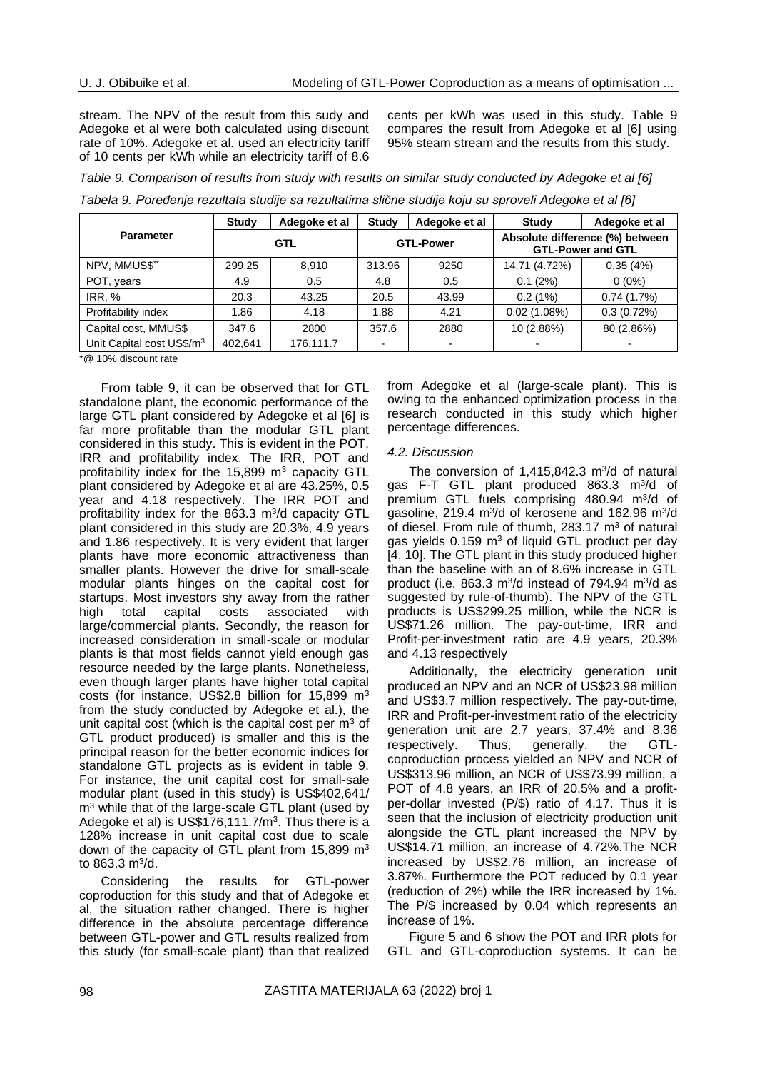stream. The NPV of the result from this sudy and Adegoke et al were both calculated using discount rate of 10%. Adegoke et al. used an electricity tariff of 10 cents per kWh while an electricity tariff of 8.6

cents per kWh was used in this study. Table 9 compares the result from Adegoke et al [6] using 95% steam stream and the results from this study.

*Table 9. Comparison of results from study with results on similar study conducted by Adegoke et al [6]*

| Tabela 9. Poređenje rezultata studije sa rezultatima slične studije koju su sproveli Adegoke et al [6] |  |  |
|--------------------------------------------------------------------------------------------------------|--|--|
|--------------------------------------------------------------------------------------------------------|--|--|

| <b>Parameter</b>                      | <b>Study</b> | Adegoke et al | <b>Study</b>     | Adegoke et al | <b>Study</b>                                                | Adegoke et al |
|---------------------------------------|--------------|---------------|------------------|---------------|-------------------------------------------------------------|---------------|
|                                       | <b>GTL</b>   |               | <b>GTL-Power</b> |               | Absolute difference (%) between<br><b>GTL-Power and GTL</b> |               |
| NPV, MMUS\$**                         | 299.25       | 8.910         | 313.96           | 9250          | 14.71 (4.72%)                                               | 0.35(4%)      |
| POT, years                            | 4.9          | 0.5           | 4.8              | 0.5           | 0.1(2%)                                                     | $0(0\%)$      |
| IRR, %                                | 20.3         | 43.25         | 20.5             | 43.99         | 0.2(1%)                                                     | 0.74(1.7%)    |
| Profitability index                   | 1.86         | 4.18          | 1.88             | 4.21          | 0.02(1.08%)                                                 | 0.3(0.72%)    |
| Capital cost, MMUS\$                  | 347.6        | 2800          | 357.6            | 2880          | 10 (2.88%)                                                  | 80 (2.86%)    |
| Unit Capital cost US\$/m <sup>3</sup> | 402,641      | 176,111.7     |                  |               |                                                             |               |

\*@ 10% discount rate

From table 9, it can be observed that for GTL standalone plant, the economic performance of the large GTL plant considered by Adegoke et al [6] is far more profitable than the modular GTL plant considered in this study. This is evident in the POT, IRR and profitability index. The IRR, POT and profitability index for the 15,899 m<sup>3</sup> capacity GTL plant considered by Adegoke et al are 43.25%, 0.5 year and 4.18 respectively. The IRR POT and profitability index for the 863.3 m<sup>3</sup>/d capacity GTL plant considered in this study are 20.3%, 4.9 years and 1.86 respectively. It is very evident that larger plants have more economic attractiveness than smaller plants. However the drive for small-scale modular plants hinges on the capital cost for startups. Most investors shy away from the rather high total capital costs associated with large/commercial plants. Secondly, the reason for increased consideration in small-scale or modular plants is that most fields cannot yield enough gas resource needed by the large plants. Nonetheless, even though larger plants have higher total capital costs (for instance, US\$2.8 billion for 15,899 m<sup>3</sup> from the study conducted by Adegoke et al.), the unit capital cost (which is the capital cost per  $m<sup>3</sup>$  of GTL product produced) is smaller and this is the principal reason for the better economic indices for standalone GTL projects as is evident in table 9. For instance, the unit capital cost for small-sale modular plant (used in this study) is US\$402,641/ m<sup>3</sup> while that of the large-scale GTL plant (used by Adegoke et al) is US\$176,111.7/ $m^3$ . Thus there is a 128% increase in unit capital cost due to scale down of the capacity of GTL plant from 15,899 m<sup>3</sup> to 863.3 m<sup>3</sup>/d.

Considering the results for GTL-power coproduction for this study and that of Adegoke et al, the situation rather changed. There is higher difference in the absolute percentage difference between GTL-power and GTL results realized from this study (for small-scale plant) than that realized from Adegoke et al (large-scale plant). This is owing to the enhanced optimization process in the research conducted in this study which higher percentage differences.

### *4.2. Discussion*

The conversion of  $1,415,842.3$  m $3/d$  of natural gas F-T GTL plant produced 863.3 m<sup>3</sup>/d of premium GTL fuels comprising 480.94 m<sup>3</sup>/d of gasoline, 219.4 m<sup>3</sup>/d of kerosene and 162.96 m<sup>3</sup>/d of diesel. From rule of thumb, 283.17 m<sup>3</sup> of natural gas yields  $0.159 \text{ m}^3$  of liquid GTL product per day [4, 10]. The GTL plant in this study produced higher than the baseline with an of 8.6% increase in GTL product (i.e. 863.3 m<sup>3</sup>/d instead of 794.94 m<sup>3</sup>/d as suggested by rule-of-thumb). The NPV of the GTL products is US\$299.25 million, while the NCR is US\$71.26 million. The pay-out-time, IRR and Profit-per-investment ratio are 4.9 years, 20.3% and 4.13 respectively

Additionally, the electricity generation unit produced an NPV and an NCR of US\$23.98 million and US\$3.7 million respectively. The pay-out-time, IRR and Profit-per-investment ratio of the electricity generation unit are 2.7 years, 37.4% and 8.36 respectively. Thus, generally, the GTLcoproduction process yielded an NPV and NCR of US\$313.96 million, an NCR of US\$73.99 million, a POT of 4.8 years, an IRR of 20.5% and a profitper-dollar invested (P/\$) ratio of 4.17. Thus it is seen that the inclusion of electricity production unit alongside the GTL plant increased the NPV by US\$14.71 million, an increase of 4.72%.The NCR increased by US\$2.76 million, an increase of 3.87%. Furthermore the POT reduced by 0.1 year (reduction of 2%) while the IRR increased by 1%. The P/\$ increased by 0.04 which represents an increase of 1%.

Figure 5 and 6 show the POT and IRR plots for GTL and GTL-coproduction systems. It can be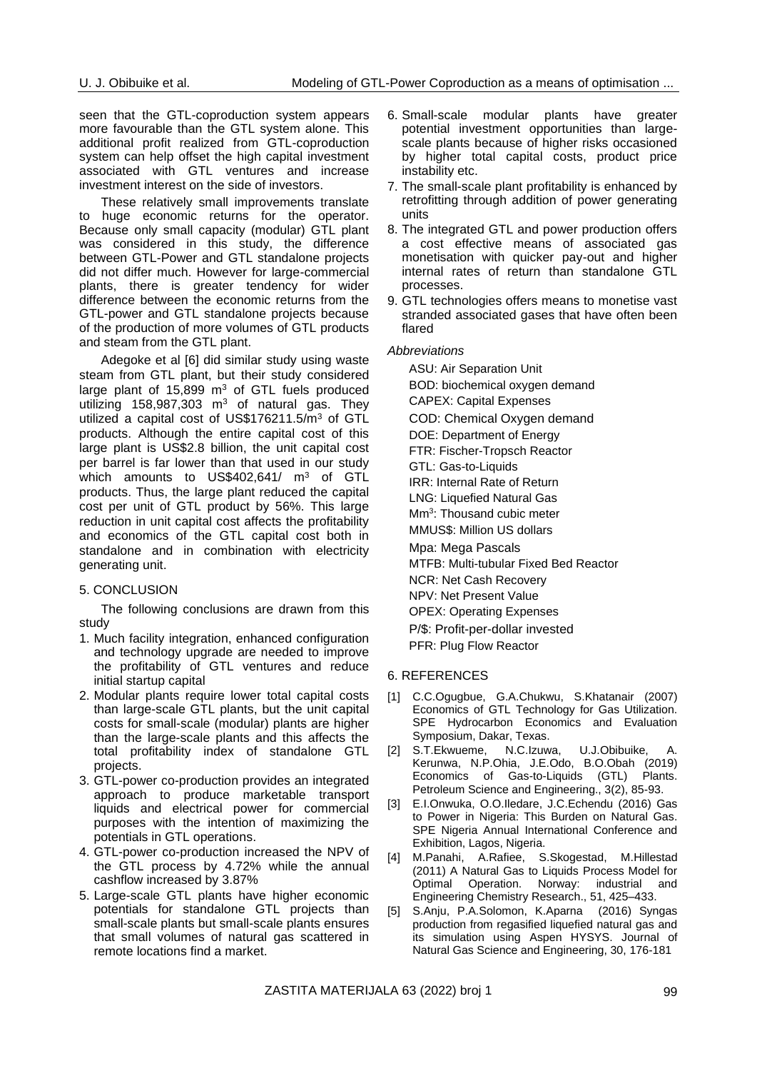seen that the GTL-coproduction system appears more favourable than the GTL system alone. This additional profit realized from GTL-coproduction system can help offset the high capital investment associated with GTL ventures and increase investment interest on the side of investors.

These relatively small improvements translate to huge economic returns for the operator. Because only small capacity (modular) GTL plant was considered in this study, the difference between GTL-Power and GTL standalone projects did not differ much. However for large-commercial plants, there is greater tendency for wider difference between the economic returns from the GTL-power and GTL standalone projects because of the production of more volumes of GTL products and steam from the GTL plant.

Adegoke et al [6] did similar study using waste steam from GTL plant, but their study considered large plant of  $15,899$  m<sup>3</sup> of GTL fuels produced utilizing 158,987,303  $m^3$  of natural gas. They utilized a capital cost of US\$176211.5/m<sup>3</sup> of GTL products. Although the entire capital cost of this large plant is US\$2.8 billion, the unit capital cost per barrel is far lower than that used in our study which amounts to US\$402,641/ m<sup>3</sup> of GTL products. Thus, the large plant reduced the capital cost per unit of GTL product by 56%. This large reduction in unit capital cost affects the profitability and economics of the GTL capital cost both in standalone and in combination with electricity generating unit.

### 5. CONCLUSION

The following conclusions are drawn from this study

- 1. Much facility integration, enhanced configuration and technology upgrade are needed to improve the profitability of GTL ventures and reduce initial startup capital
- 2. Modular plants require lower total capital costs than large-scale GTL plants, but the unit capital costs for small-scale (modular) plants are higher than the large-scale plants and this affects the total profitability index of standalone GTL projects.
- 3. GTL-power co-production provides an integrated approach to produce marketable transport liquids and electrical power for commercial purposes with the intention of maximizing the potentials in GTL operations.
- 4. GTL-power co-production increased the NPV of the GTL process by 4.72% while the annual cashflow increased by 3.87%
- 5. Large-scale GTL plants have higher economic potentials for standalone GTL projects than small-scale plants but small-scale plants ensures that small volumes of natural gas scattered in remote locations find a market.
- 6. Small-scale modular plants have greater potential investment opportunities than largescale plants because of higher risks occasioned by higher total capital costs, product price instability etc.
- 7. The small-scale plant profitability is enhanced by retrofitting through addition of power generating units
- 8. The integrated GTL and power production offers a cost effective means of associated gas monetisation with quicker pay-out and higher internal rates of return than standalone GTL processes.
- 9. GTL technologies offers means to monetise vast stranded associated gases that have often been flared

#### *Abbreviations*

ASU: Air Separation Unit BOD: biochemical oxygen demand CAPEX: Capital Expenses COD: Chemical Oxygen demand DOE: Department of Energy FTR: Fischer-Tropsch Reactor GTL: Gas-to-Liquids IRR: Internal Rate of Return LNG: Liquefied Natural Gas Mm<sup>3</sup>: Thousand cubic meter MMUS\$: Million US dollars Mpa: Mega Pascals MTFB: Multi-tubular Fixed Bed Reactor NCR: Net Cash Recovery NPV: Net Present Value

OPEX: Operating Expenses

P/\$: Profit-per-dollar invested

PFR: Plug Flow Reactor

### 6. REFERENCES

- [1] C.C.Ogugbue, G.A.Chukwu, S.Khatanair (2007) Economics of GTL Technology for Gas Utilization. SPE Hydrocarbon Economics and Evaluation Symposium, Dakar, Texas.
- [2] S.T.Ekwueme, N.C.Izuwa, U.J.Obibuike, A. Kerunwa, N.P.Ohia, J.E.Odo, B.O.Obah (2019) Economics of Gas-to-Liquids (GTL) Plants. Petroleum Science and Engineering., 3(2), 85-93.
- [3] E.I.Onwuka, O.O.Iledare, J.C.Echendu (2016) Gas to Power in Nigeria: This Burden on Natural Gas. SPE Nigeria Annual International Conference and Exhibition, Lagos, Nigeria.
- [4] M.Panahi, A.Rafiee, S.Skogestad, M.Hillestad (2011) A Natural Gas to Liquids Process Model for Optimal Operation. Norway: industrial and Engineering Chemistry Research., 51, 425–433.
- [5] S.Anju, P.A.Solomon, K.Aparna (2016) Syngas production from regasified liquefied natural gas and its simulation using Aspen HYSYS. Journal of Natural Gas Science and Engineering, 30, 176-181